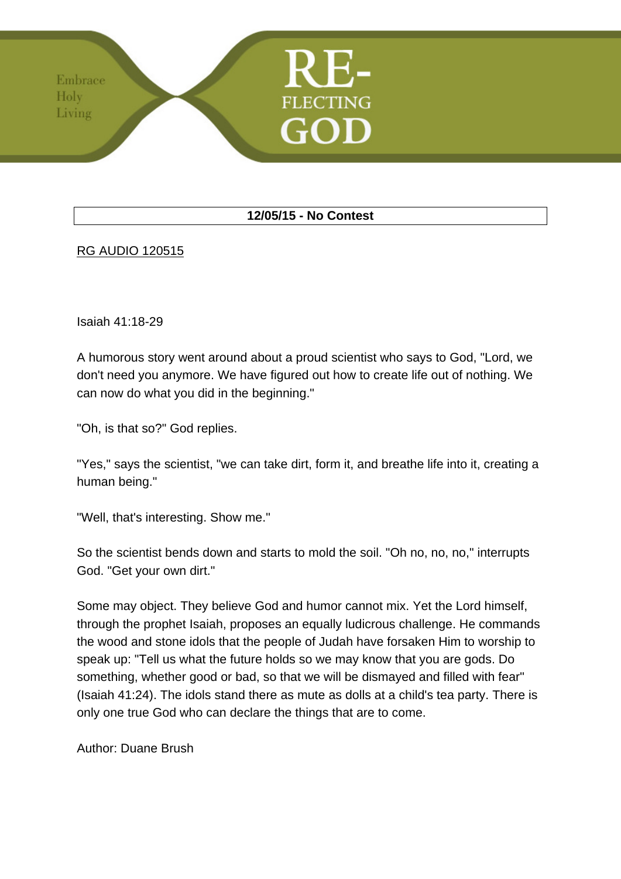## **12/05/15 - No Contest**

## RG AUDIO 120515

Embrace Holy Living

Isaiah 41:18-29

A humorous story went around about a proud scientist who says to God, "Lord, we don't need you anymore. We have figured out how to create life out of nothing. We can now do what you did in the beginning."

"Oh, is that so?" God replies.

"Yes," says the scientist, "we can take dirt, form it, and breathe life into it, creating a human being."

"Well, that's interesting. Show me."

So the scientist bends down and starts to mold the soil. "Oh no, no, no," interrupts God. "Get your own dirt."

Some may object. They believe God and humor cannot mix. Yet the Lord himself, through the prophet Isaiah, proposes an equally ludicrous challenge. He commands the wood and stone idols that the people of Judah have forsaken Him to worship to speak up: "Tell us what the future holds so we may know that you are gods. Do something, whether good or bad, so that we will be dismayed and filled with fear" (Isaiah 41:24). The idols stand there as mute as dolls at a child's tea party. There is only one true God who can declare the things that are to come.

Author: Duane Brush